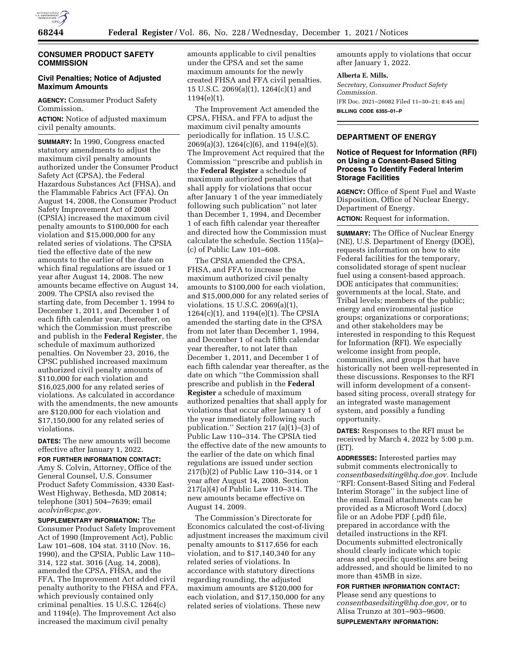

# **CONSUMER PRODUCT SAFETY COMMISSION**

# **Civil Penalties; Notice of Adjusted Maximum Amounts**

**AGENCY:** Consumer Product Safety Commission.

**ACTION:** Notice of adjusted maximum civil penalty amounts.

**SUMMARY:** In 1990, Congress enacted statutory amendments to adjust the maximum civil penalty amounts authorized under the Consumer Product Safety Act (CPSA), the Federal Hazardous Substances Act (FHSA), and the Flammable Fabrics Act (FFA). On August 14, 2008, the Consumer Product Safety Improvement Act of 2008 (CPSIA) increased the maximum civil penalty amounts to \$100,000 for each violation and \$15,000,000 for any related series of violations. The CPSIA tied the effective date of the new amounts to the earlier of the date on which final regulations are issued or 1 year after August 14, 2008. The new amounts became effective on August 14, 2009. The CPSIA also revised the starting date, from December 1, 1994 to December 1, 2011, and December 1 of each fifth calendar year, thereafter, on which the Commission must prescribe and publish in the **Federal Register**, the schedule of maximum authorized penalties. On November 23, 2016, the CPSC published increased maximum authorized civil penalty amounts of \$110,000 for each violation and \$16,025,000 for any related series of violations. As calculated in accordance with the amendments, the new amounts are \$120,000 for each violation and \$17,150,000 for any related series of violations.

**DATES:** The new amounts will become effective after January 1, 2022.

**FOR FURTHER INFORMATION CONTACT:**  Amy S. Colvin, Attorney, Office of the General Counsel, U.S. Consumer Product Safety Commission, 4330 East-West Highway, Bethesda, MD 20814; telephone (301) 504–7639; email *[acolvin@cpsc.gov.](mailto:acolvin@cpsc.gov)* 

**SUPPLEMENTARY INFORMATION:** The Consumer Product Safety Improvement Act of 1990 (Improvement Act), Public Law 101–608, 104 stat. 3110 (Nov. 16, 1990), and the CPSIA, Public Law 110– 314, 122 stat. 3016 (Aug. 14, 2008), amended the CPSA, FHSA, and the FFA. The Improvement Act added civil penalty authority to the FHSA and FFA, which previously contained only criminal penalties. 15 U.S.C. 1264(c) and 1194(e). The Improvement Act also increased the maximum civil penalty

amounts applicable to civil penalties under the CPSA and set the same maximum amounts for the newly created FHSA and FFA civil penalties. 15 U.S.C. 2069(a)(1), 1264(c)(1) and 1194(e)(1).

The Improvement Act amended the CPSA, FHSA, and FFA to adjust the maximum civil penalty amounts periodically for inflation. 15 U.S.C. 2069(a)(3), 1264(c)(6), and 1194(e)(5). The Improvement Act required that the Commission ''prescribe and publish in the **Federal Register** a schedule of maximum authorized penalties that shall apply for violations that occur after January 1 of the year immediately following such publication'' not later than December 1, 1994, and December 1 of each fifth calendar year thereafter and directed how the Commission must calculate the schedule. Section 115(a)– (c) of Public Law 101–608.

The CPSIA amended the CPSA, FHSA, and FFA to increase the maximum authorized civil penalty amounts to \$100,000 for each violation, and \$15,000,000 for any related series of violations. 15 U.S.C. 2069(a)(1), 1264(c)(1), and 1194(e)(1). The CPSIA amended the starting date in the CPSA from not later than December 1, 1994, and December 1 of each fifth calendar year thereafter, to not later than December 1, 2011, and December 1 of each fifth calendar year thereafter, as the date on which ''the Commission shall prescribe and publish in the **Federal Register** a schedule of maximum authorized penalties that shall apply for violations that occur after January 1 of the year immediately following such publication.'' Section 217 (a)(1)–(3) of Public Law 110–314. The CPSIA tied the effective date of the new amounts to the earlier of the date on which final regulations are issued under section 217(b)(2) of Public Law 110–314, or 1 year after August 14, 2008. Section 217(a)(4) of Public Law 110–314. The new amounts became effective on August 14, 2009.

The Commission's Directorate for Economics calculated the cost-of-living adjustment increases the maximum civil penalty amounts to \$117,656 for each violation, and to \$17,140,340 for any related series of violations. In accordance with statutory directions regarding rounding, the adjusted maximum amounts are \$120,000 for each violation, and \$17,150,000 for any related series of violations. These new

amounts apply to violations that occur after January 1, 2022.

#### **Alberta E. Mills,**

*Secretary, Consumer Product Safety Commission.*  [FR Doc. 2021–26082 Filed 11–30–21; 8:45 am] **BILLING CODE 6355–01–P** 

## **DEPARTMENT OF ENERGY**

## **Notice of Request for Information (RFI) on Using a Consent-Based Siting Process To Identify Federal Interim Storage Facilities**

**AGENCY:** Office of Spent Fuel and Waste Disposition, Office of Nuclear Energy, Department of Energy.

**ACTION:** Request for information.

**SUMMARY:** The Office of Nuclear Energy (NE), U.S. Department of Energy (DOE), requests information on how to site Federal facilities for the temporary, consolidated storage of spent nuclear fuel using a consent-based approach. DOE anticipates that communities; governments at the local, State, and Tribal levels; members of the public; energy and environmental justice groups; organizations or corporations; and other stakeholders may be interested in responding to this Request for Information (RFI). We especially welcome insight from people, communities, and groups that have historically not been well-represented in these discussions. Responses to the RFI will inform development of a consentbased siting process, overall strategy for an integrated waste management system, and possibly a funding opportunity.

**DATES:** Responses to the RFI must be received by March 4, 2022 by 5:00 p.m. (ET).

**ADDRESSES:** Interested parties may submit comments electronically to *[consentbasedsiting@hq.doe.gov.](mailto:consentbasedsiting@hq.doe.gov)* Include ''RFI: Consent-Based Siting and Federal Interim Storage'' in the subject line of the email. Email attachments can be provided as a Microsoft Word (.docx) file or an Adobe PDF (.pdf) file, prepared in accordance with the detailed instructions in the RFI. Documents submitted electronically should clearly indicate which topic areas and specific questions are being addressed, and should be limited to no more than 45MB in size.

**FOR FURTHER INFORMATION CONTACT:**  Please send any questions to *[consentbasedsiting@hq.doe.gov,](mailto:consentbasedsiting@hq.doe.gov)* or to Alisa Trunzo at 301–903–9600. **SUPPLEMENTARY INFORMATION:**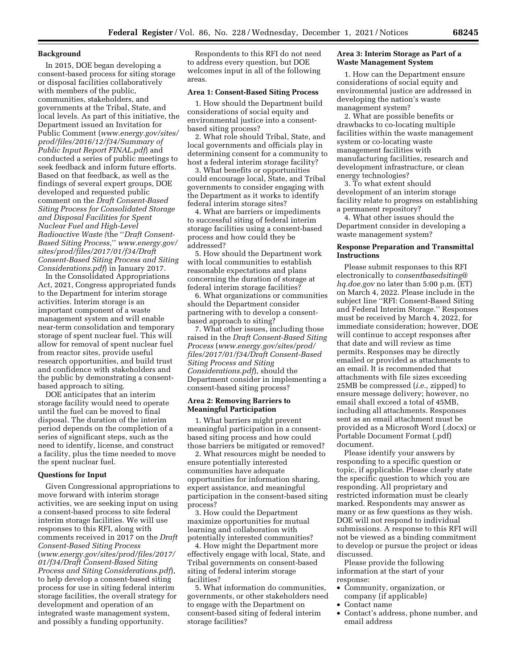### **Background**

In 2015, DOE began developing a consent-based process for siting storage or disposal facilities collaboratively with members of the public, communities, stakeholders, and governments at the Tribal, State, and local levels. As part of this initiative, the Department issued an Invitation for Public Comment (*[www.energy.gov/sites/](http://www.energy.gov/sites/prod/files/2016/12/f34/Summary%20of%20Public%20Input%20Report%20FINAL.pdf)  [prod/files/2016/12/f34/Summary of](http://www.energy.gov/sites/prod/files/2016/12/f34/Summary%20of%20Public%20Input%20Report%20FINAL.pdf)  [Public Input Report FINAL.pdf](http://www.energy.gov/sites/prod/files/2016/12/f34/Summary%20of%20Public%20Input%20Report%20FINAL.pdf)*) and conducted a series of public meetings to seek feedback and inform future efforts. Based on that feedback, as well as the findings of several expert groups, DOE developed and requested public comment on the *Draft Consent-Based Siting Process for Consolidated Storage and Disposal Facilities for Spent Nuclear Fuel and High-Level Radioactive Waste (*the ''*Draft Consent-Based Siting Process,*'' *[www.energy.gov/](http://www.energy.gov/sites/prod/files/2017/01/f34/Draft%20Consent-Based%20Siting%20Process%20and%20Siting%20Considerations.pdf)  [sites/prod/files/2017/01/f34/Draft](http://www.energy.gov/sites/prod/files/2017/01/f34/Draft%20Consent-Based%20Siting%20Process%20and%20Siting%20Considerations.pdf)  [Consent-Based Siting Process and Siting](http://www.energy.gov/sites/prod/files/2017/01/f34/Draft%20Consent-Based%20Siting%20Process%20and%20Siting%20Considerations.pdf)  [Considerations.pdf](http://www.energy.gov/sites/prod/files/2017/01/f34/Draft%20Consent-Based%20Siting%20Process%20and%20Siting%20Considerations.pdf)*) in January 2017.

In the Consolidated Appropriations Act, 2021, Congress appropriated funds to the Department for interim storage activities. Interim storage is an important component of a waste management system and will enable near-term consolidation and temporary storage of spent nuclear fuel. This will allow for removal of spent nuclear fuel from reactor sites, provide useful research opportunities, and build trust and confidence with stakeholders and the public by demonstrating a consentbased approach to siting.

DOE anticipates that an interim storage facility would need to operate until the fuel can be moved to final disposal. The duration of the interim period depends on the completion of a series of significant steps, such as the need to identify, license, and construct a facility, plus the time needed to move the spent nuclear fuel.

### **Questions for Input**

Given Congressional appropriations to move forward with interim storage activities, we are seeking input on using a consent-based process to site federal interim storage facilities. We will use responses to this RFI, along with comments received in 2017 on the *Draft Consent-Based Siting Process*  (*[www.energy.gov/sites/prod/files/2017/](http://www.energy.gov/sites/prod/files/2017/01/f34/Draft%20Consent-Based%20Siting%20Process%20and%20Siting%20Considerations.pdf)  01/f34/Draft Consent-Based Siting Process and Siting Considerations.pdf*), to help develop a consent-based siting process for use in siting federal interim storage facilities, the overall strategy for development and operation of an integrated waste management system, and possibly a funding opportunity.

Respondents to this RFI do not need to address every question, but DOE welcomes input in all of the following areas.

## **Area 1: Consent-Based Siting Process**

1. How should the Department build considerations of social equity and environmental justice into a consentbased siting process?

2. What role should Tribal, State, and local governments and officials play in determining consent for a community to host a federal interim storage facility?

3. What benefits or opportunities could encourage local, State, and Tribal governments to consider engaging with the Department as it works to identify federal interim storage sites?

4. What are barriers or impediments to successful siting of federal interim storage facilities using a consent-based process and how could they be addressed?

5. How should the Department work with local communities to establish reasonable expectations and plans concerning the duration of storage at federal interim storage facilities?

6. What organizations or communities should the Department consider partnering with to develop a consentbased approach to siting?

7. What other issues, including those raised in the *Draft Consent-Based Siting Process* (*[www.energy.gov/sites/prod/](http://www.energy.gov/sites/prod/files/2017/01/f34/Draft%20Consent-Based%20Siting%20Process%20and%20Siting%20Considerations.pdf)  [files/2017/01/f34/Draft Consent-Based](http://www.energy.gov/sites/prod/files/2017/01/f34/Draft%20Consent-Based%20Siting%20Process%20and%20Siting%20Considerations.pdf)  [Siting Process and Siting](http://www.energy.gov/sites/prod/files/2017/01/f34/Draft%20Consent-Based%20Siting%20Process%20and%20Siting%20Considerations.pdf)  [Considerations.pdf](http://www.energy.gov/sites/prod/files/2017/01/f34/Draft%20Consent-Based%20Siting%20Process%20and%20Siting%20Considerations.pdf)*), should the Department consider in implementing a consent-based siting process?

### **Area 2: Removing Barriers to Meaningful Participation**

1. What barriers might prevent meaningful participation in a consentbased siting process and how could those barriers be mitigated or removed?

2. What resources might be needed to ensure potentially interested communities have adequate opportunities for information sharing, expert assistance, and meaningful participation in the consent-based siting process?

3. How could the Department maximize opportunities for mutual learning and collaboration with potentially interested communities?

4. How might the Department more effectively engage with local, State, and Tribal governments on consent-based siting of federal interim storage facilities?

5. What information do communities, governments, or other stakeholders need to engage with the Department on consent-based siting of federal interim storage facilities?

## **Area 3: Interim Storage as Part of a Waste Management System**

1. How can the Department ensure considerations of social equity and environmental justice are addressed in developing the nation's waste management system?

2. What are possible benefits or drawbacks to co-locating multiple facilities within the waste management system or co-locating waste management facilities with manufacturing facilities, research and development infrastructure, or clean energy technologies?

3. To what extent should development of an interim storage facility relate to progress on establishing a permanent repository?

4. What other issues should the Department consider in developing a waste management system?

## **Response Preparation and Transmittal Instructions**

Please submit responses to this RFI electronically to *[consentbasedsiting@](mailto:consentbasedsiting@hq.doe.gov) [hq.doe.gov](mailto:consentbasedsiting@hq.doe.gov)* no later than 5:00 p.m. (ET) on March 4, 2022. Please include in the subject line ''RFI: Consent-Based Siting and Federal Interim Storage.'' Responses must be received by March 4, 2022, for immediate consideration; however, DOE will continue to accept responses after that date and will review as time permits. Responses may be directly emailed or provided as attachments to an email. It is recommended that attachments with file sizes exceeding 25MB be compressed (*i.e.,* zipped) to ensure message delivery; however, no email shall exceed a total of 45MB, including all attachments. Responses sent as an email attachment must be provided as a Microsoft Word (.docx) or Portable Document Format (.pdf) document.

Please identify your answers by responding to a specific question or topic, if applicable. Please clearly state the specific question to which you are responding. All proprietary and restricted information must be clearly marked. Respondents may answer as many or as few questions as they wish. DOE will not respond to individual submissions. A response to this RFI will not be viewed as a binding commitment to develop or pursue the project or ideas discussed.

Please provide the following information at the start of your response:

- Community, organization, or company (if applicable)
- Contact name
- Contact's address, phone number, and email address